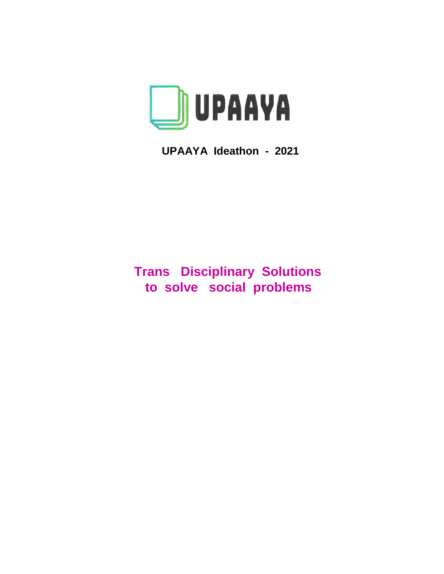

**UPAAYA Ideathon - 2021**

# **Trans Disciplinary Solutions to solve social problems**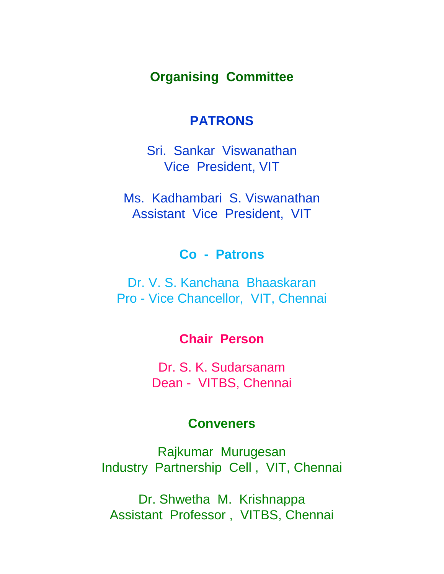## **Organising Committee**

## **PATRONS**

Sri. Sankar Viswanathan Vice President, VIT

Ms. Kadhambari S. Viswanathan Assistant Vice President, VIT

## **Co - Patrons**

Dr. V. S. Kanchana Bhaaskaran Pro - Vice Chancellor, VIT, Chennai

## **Chair Person**

Dr. S. K. Sudarsanam Dean - VITBS, Chennai

## **Conveners**

Rajkumar Murugesan Industry Partnership Cell , VIT, Chennai

Dr. Shwetha M. Krishnappa Assistant Professor , VITBS, Chennai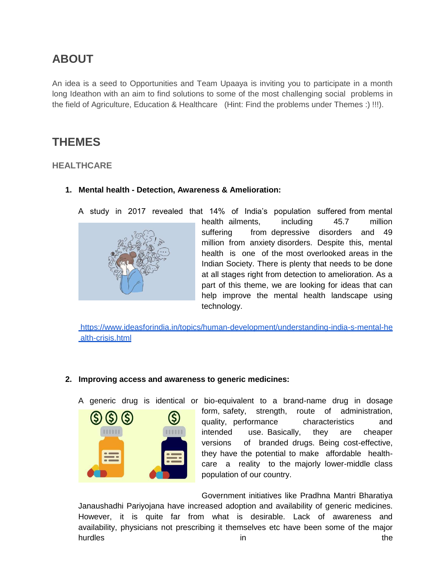## **ABOUT**

An idea is a seed to Opportunities and Team Upaaya is inviting you to participate in a month long Ideathon with an aim to find solutions to some of the most challenging social problems in the field of Agriculture, Education & Healthcare (Hint: Find the problems under Themes :) !!!).

## **THEMES**

## **HEALTHCARE**

**1. Mental health - Detection, Awareness & Amelioration:**



A study in 2017 revealed that 14% of India's population suffered from mental health ailments, including 45.7 million suffering from depressive disorders and 49 million from anxiety disorders. Despite this, mental health is one of the most overlooked areas in the Indian Society. There is plenty that needs to be done at all stages right from detection to amelioration. As a part of this theme, we are looking for ideas that can help improve the mental health landscape using technology.

[https://www.ideasforindia.in/topics/human-development/understanding-india-s-mental-he](https://www.ideasforindia.in/topics/human-development/understanding-india-s-mental-health-crisis.html)  [alth-crisis.html](https://www.ideasforindia.in/topics/human-development/understanding-india-s-mental-health-crisis.html)

## **2. Improving access and awareness to generic medicines:**

A generic drug is identical or bio-equivalent to a brand-name drug in dosage



form, safety, strength, route of administration, quality, performance characteristics and intended use. Basically, they are cheaper versions of branded drugs. Being cost-effective, they have the potential to make affordable healthcare a reality to the majorly lower-middle class population of our country.

Government initiatives like Pradhna Mantri Bharatiya Janaushadhi Pariyojana have increased adoption and availability of generic medicines. However, it is quite far from what is desirable. Lack of awareness and availability, physicians not prescribing it themselves etc have been some of the major hurdles the contract of the contract of the contract of the contract of the contract of the contract of the contract of the contract of the contract of the contract of the contract of the contract of the contract of the co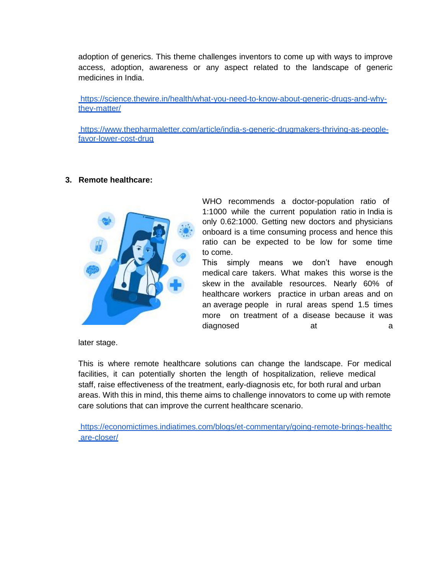adoption of generics. This theme challenges inventors to come up with ways to improve access, adoption, awareness or any aspect related to the landscape of generic medicines in India.

[https://science.thewire.in/health/what-you-need-to-know-about-generic-drugs-and-why](https://science.thewire.in/health/what-you-need-to-know-about-generic-drugs-and-why-they-matter/)[they-matter/](https://science.thewire.in/health/what-you-need-to-know-about-generic-drugs-and-why-they-matter/)

[https://www.thepharmaletter.com/article/india-s-generic-drugmakers-thriving-as-people](https://www.thepharmaletter.com/article/india-s-generic-drugmakers-thriving-as-people-favor-lower-cost-drug)[favor-lower-cost-drug](https://www.thepharmaletter.com/article/india-s-generic-drugmakers-thriving-as-people-favor-lower-cost-drug) 

#### **3. Remote healthcare:**



WHO recommends a doctor-population ratio of 1:1000 while the current population ratio in India is only 0.62:1000. Getting new doctors and physicians onboard is a time consuming process and hence this ratio can be expected to be low for some time to come.

This simply means we don't have enough medical care takers. What makes this worse is the skew in the available resources. Nearly 60% of healthcare workers practice in urban areas and on an average people in rural areas spend 1.5 times more on treatment of a disease because it was diagnosed at a at a control at a method at a control at a control at a control at a control at a control at a control at a control at a control at a control at a control at a control at a control at  $\alpha$  control at a contr

later stage.

This is where remote healthcare solutions can change the landscape. For medical facilities, it can potentially shorten the length of hospitalization, relieve medical staff, raise effectiveness of the treatment, early-diagnosis etc, for both rural and urban areas. With this in mind, this theme aims to challenge innovators to come up with remote care solutions that can improve the current healthcare scenario.

[https://economictimes.indiatimes.com/blogs/et-commentary/going-remote-brings-healthc](https://economictimes.indiatimes.com/blogs/et-commentary/going-remote-brings-healthcare-closer/)  [are-closer/](https://economictimes.indiatimes.com/blogs/et-commentary/going-remote-brings-healthcare-closer/)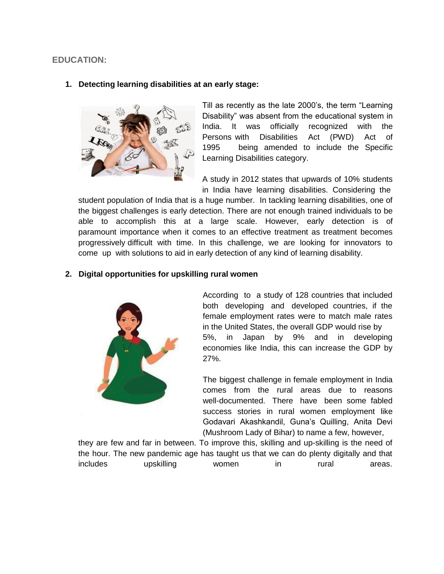### **EDUCATION:**

#### **1. Detecting learning disabilities at an early stage:**



Till as recently as the late 2000's, the term "Learning Disability" was absent from the educational system in India. It was officially recognized with the Persons with Disabilities Act (PWD) Act of 1995 being amended to include the Specific Learning Disabilities category.

A study in 2012 states that upwards of 10% students in India have learning disabilities. Considering the

student population of India that is a huge number. In tackling learning disabilities, one of the biggest challenges is early detection. There are not enough trained individuals to be able to accomplish this at a large scale. However, early detection is of paramount importance when it comes to an effective treatment as treatment becomes progressively difficult with time. In this challenge, we are looking for innovators to come up with solutions to aid in early detection of any kind of learning disability.

#### **2. Digital opportunities for upskilling rural women**



According to a study of 128 countries that included both developing and developed countries, if the female employment rates were to match male rates in the United States, the overall GDP would rise by 5%, in Japan by 9% and in developing economies like India, this can increase the GDP by 27%.

The biggest challenge in female employment in India comes from the rural areas due to reasons well-documented. There have been some fabled success stories in rural women employment like Godavari Akashkandil, Guna's Quilling, Anita Devi (Mushroom Lady of Bihar) to name a few, however,

they are few and far in between. To improve this, skilling and up-skilling is the need of the hour. The new pandemic age has taught us that we can do plenty digitally and that includes upskilling women in rural areas.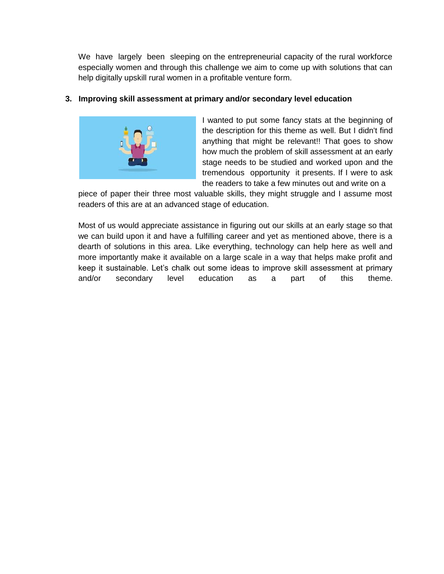We have largely been sleeping on the entrepreneurial capacity of the rural workforce especially women and through this challenge we aim to come up with solutions that can help digitally upskill rural women in a profitable venture form.

## **3. Improving skill assessment at primary and/or secondary level education**



I wanted to put some fancy stats at the beginning of the description for this theme as well. But I didn't find anything that might be relevant!! That goes to show how much the problem of skill assessment at an early stage needs to be studied and worked upon and the tremendous opportunity it presents. If I were to ask the readers to take a few minutes out and write on a

piece of paper their three most valuable skills, they might struggle and I assume most readers of this are at an advanced stage of education.

Most of us would appreciate assistance in figuring out our skills at an early stage so that we can build upon it and have a fulfilling career and yet as mentioned above, there is a dearth of solutions in this area. Like everything, technology can help here as well and more importantly make it available on a large scale in a way that helps make profit and keep it sustainable. Let's chalk out some ideas to improve skill assessment at primary and/or secondary level education as a part of this theme.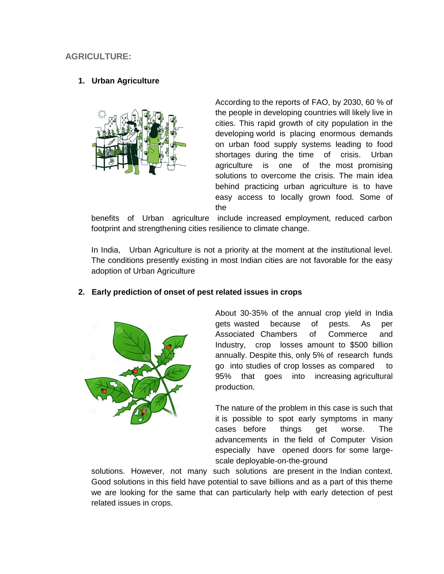## **AGRICULTURE:**

#### **1. Urban Agriculture**



According to the reports of FAO, by 2030, 60 % of the people in developing countries will likely live in cities. This rapid growth of city population in the developing world is placing enormous demands on urban food supply systems leading to food shortages during the time of crisis. Urban agriculture is one of the most promising solutions to overcome the crisis. The main idea behind practicing urban agriculture is to have easy access to locally grown food. Some of the

benefits of Urban agriculture include increased employment, reduced carbon footprint and strengthening cities resilience to climate change.

In India, Urban Agriculture is not a priority at the moment at the institutional level. The conditions presently existing in most Indian cities are not favorable for the easy adoption of Urban Agriculture



#### **2. Early prediction of onset of pest related issues in crops**

About 30-35% of the annual crop yield in India gets wasted because of pests. As per Associated Chambers of Commerce and Industry, crop losses amount to \$500 billion annually. Despite this, only 5% of research funds go into studies of crop losses as compared to 95% that goes into increasing agricultural production.

The nature of the problem in this case is such that it is possible to spot early symptoms in many cases before things get worse. The advancements in the field of Computer Vision especially have opened doors for some largescale deployable-on-the-ground

solutions. However, not many such solutions are present in the Indian context. Good solutions in this field have potential to save billions and as a part of this theme we are looking for the same that can particularly help with early detection of pest related issues in crops.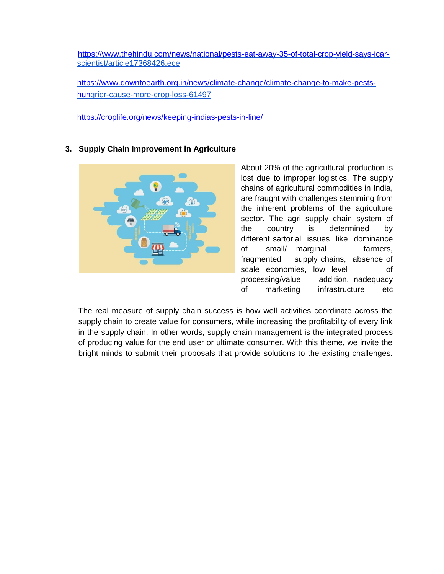[https://www.thehindu.com/news/national/pests-eat-away-35-of-total-crop-yield-says-icar](https://www.thehindu.com/news/national/pests-eat-away-35-of-total-crop-yield-says-icar-)   [scientist/article17368426.ece](https://www.thehindu.com/news/national/pests-eat-away-35-of-total-crop-yield-says-icar-scientist/article17368426.ece) 

 [https://www.downtoearth.org.in/news/climate-change/climate-change-to-make-pests](https://www.downtoearth.org.in/news/climate-change/climate-change-to-make-pests-%20%20%20%20%20%20%20%20%20%20%20hun)   [hun](https://www.downtoearth.org.in/news/climate-change/climate-change-to-make-pests-%20%20%20%20%20%20%20%20%20%20%20hun)[grier-cause-more-crop-loss-61497](https://www.downtoearth.org.in/news/climate-change/climate-change-to-make-pests-hungrier-cause-more-crop-loss-61497) 

<https://croplife.org/news/keeping-indias-pests-in-line/>

#### **3. Supply Chain Improvement in Agriculture**



About 20% of the agricultural production is lost due to improper logistics. The supply chains of agricultural commodities in India, are fraught with challenges stemming from the inherent problems of the agriculture sector. The agri supply chain system of the country is determined by different sartorial issues like dominance of small/ marginal farmers, fragmented supply chains, absence of scale economies, low level of processing/value addition, inadequacy of marketing infrastructure etc

The real measure of supply chain success is how well activities coordinate across the supply chain to create value for consumers, while increasing the profitability of every link in the supply chain. In other words, supply chain management is the integrated process of producing value for the end user or ultimate consumer. With this theme, we invite the bright minds to submit their proposals that provide solutions to the existing challenges.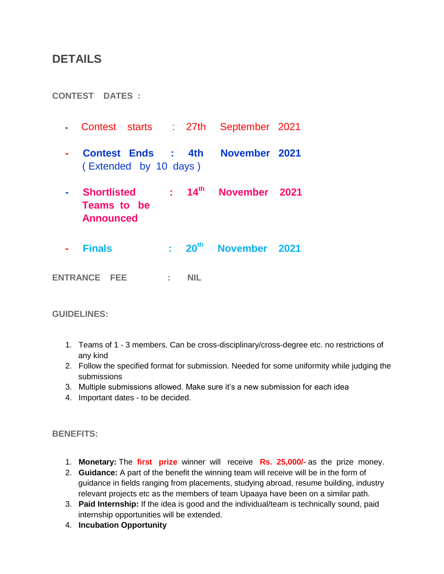## **DETAILS**

**CONTEST DATES :**

- Contest starts : 27th September 2021
- **Contest Ends : 4th November 2021** ( Extended by 10 days )
- **Shortlisted : 14**  $14^{\text{th}}$  **November 2021 Teams to be Announced**
- **Finals : 20th November 2021**

**ENTRANCE FEE : NIL**

#### **GUIDELINES:**

- 1. Teams of 1 3 members. Can be cross-disciplinary/cross-degree etc. no restrictions of any kind
- 2. Follow the specified format for submission. Needed for some uniformity while judging the submissions
- 3. Multiple submissions allowed. Make sure it's a new submission for each idea
- 4. Important dates to be decided.

#### **BENEFITS:**

- 1. **Monetary:** The **first prize** winner will receive **Rs. 25,000/-** as the prize money.
- 2. **Guidance:** A part of the benefit the winning team will receive will be in the form of guidance in fields ranging from placements, studying abroad, resume building, industry relevant projects etc as the members of team Upaaya have been on a similar path.
- 3. **Paid Internship:** If the idea is good and the individual/team is technically sound, paid internship opportunities will be extended.
- 4. **Incubation Opportunity**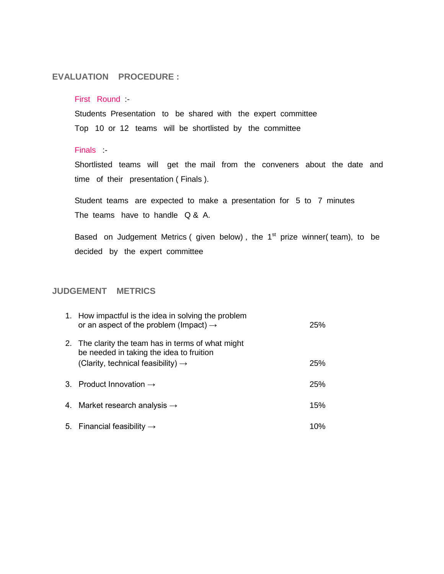#### **EVALUATION PROCEDURE :**

#### First Round :

Students Presentation to be shared with the expert committee Top 10 or 12 teams will be shortlisted by the committee

#### Finals :-

Shortlisted teams will get the mail from the conveners about the date and time of their presentation ( Finals ).

Student teams are expected to make a presentation for 5 to 7 minutes The teams have to handle Q & A.

Based on Judgement Metrics (given below), the  $1<sup>st</sup>$  prize winner(team), to be decided by the expert committee

## **JUDGEMENT METRICS**

| 1. How impactful is the idea in solving the problem<br>or an aspect of the problem (Impact) $\rightarrow$                                        | <b>25%</b> |
|--------------------------------------------------------------------------------------------------------------------------------------------------|------------|
| 2. The clarity the team has in terms of what might<br>be needed in taking the idea to fruition<br>(Clarity, technical feasibility) $\rightarrow$ | 25%        |
|                                                                                                                                                  |            |
| 3. Product Innovation $\rightarrow$                                                                                                              | <b>25%</b> |
| 4. Market research analysis $\rightarrow$                                                                                                        | 15%        |
| 5. Financial feasibility $\rightarrow$                                                                                                           | 10%        |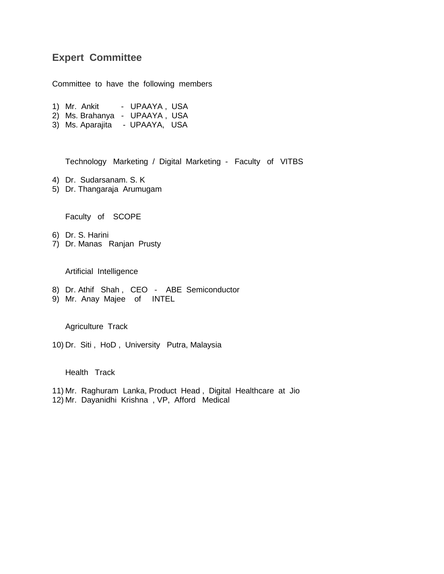## **Expert Committee**

Committee to have the following members

- 1) Mr. Ankit UPAAYA, USA
- 2) Ms. Brahanya UPAAYA , USA
- 3) Ms. Aparajita UPAAYA, USA

Technology Marketing / Digital Marketing - Faculty of VITBS

- 4) Dr. Sudarsanam. S. K
- 5) Dr. Thangaraja Arumugam

Faculty of SCOPE

- 6) Dr. S. Harini
- 7) Dr. Manas Ranjan Prusty

Artificial Intelligence

- 8) Dr. Athif Shah , CEO ABE Semiconductor
- 9) Mr. Anay Majee of INTEL

Agriculture Track

10) Dr. Siti , HoD , University Putra, Malaysia

Health Track

11) Mr. Raghuram Lanka, Product Head , Digital Healthcare at Jio 12) Mr. Dayanidhi Krishna , VP, Afford Medical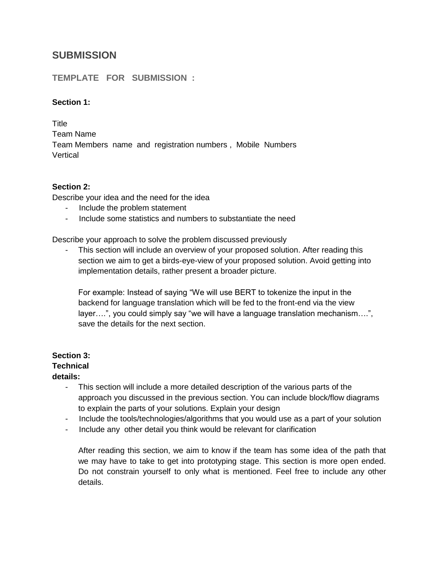## **SUBMISSION**

### **TEMPLATE FOR SUBMISSION :**

#### **Section 1:**

**Title** Team Name Team Members name and registration numbers , Mobile Numbers **Vertical** 

#### **Section 2:**

Describe your idea and the need for the idea

- Include the problem statement
- Include some statistics and numbers to substantiate the need

Describe your approach to solve the problem discussed previously

- This section will include an overview of your proposed solution. After reading this section we aim to get a birds-eye-view of your proposed solution. Avoid getting into implementation details, rather present a broader picture.

For example: Instead of saying "We will use BERT to tokenize the input in the backend for language translation which will be fed to the front-end via the view layer….", you could simply say "we will have a language translation mechanism….", save the details for the next section.

## **Section 3:**

### **Technical**

#### **details:**

- This section will include a more detailed description of the various parts of the approach you discussed in the previous section. You can include block/flow diagrams to explain the parts of your solutions. Explain your design
- Include the tools/technologies/algorithms that you would use as a part of your solution
- Include any other detail you think would be relevant for clarification

After reading this section, we aim to know if the team has some idea of the path that we may have to take to get into prototyping stage. This section is more open ended. Do not constrain yourself to only what is mentioned. Feel free to include any other details.